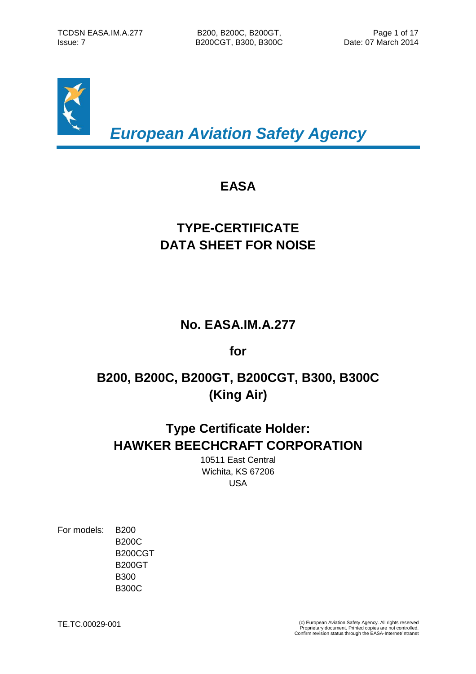Issue: 7 B200CGT, B300, B300C Date: 07 March 2014



## **EASA**

# **TYPE-CERTIFICATE DATA SHEET FOR NOISE**

## **No. EASA.IM.A.277**

### **for**

## **B200, B200C, B200GT, B200CGT, B300, B300C (King Air)**

# **Type Certificate Holder: HAWKER BEECHCRAFT CORPORATION**

10511 East Central Wichita, KS 67206 USA

For models: B200 B200C B200CGT B200GT B300 B300C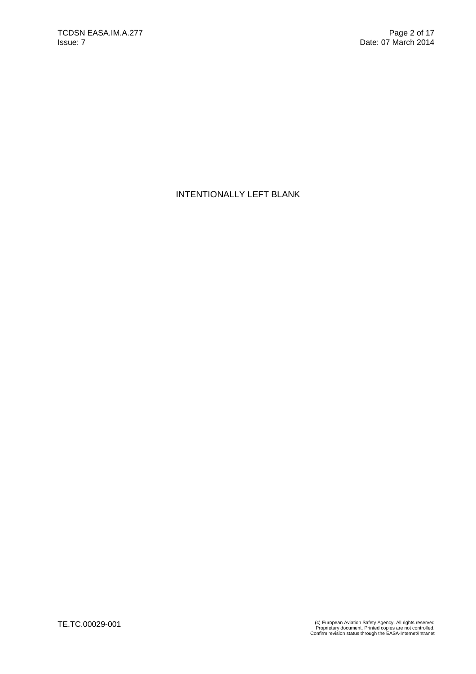#### INTENTIONALLY LEFT BLANK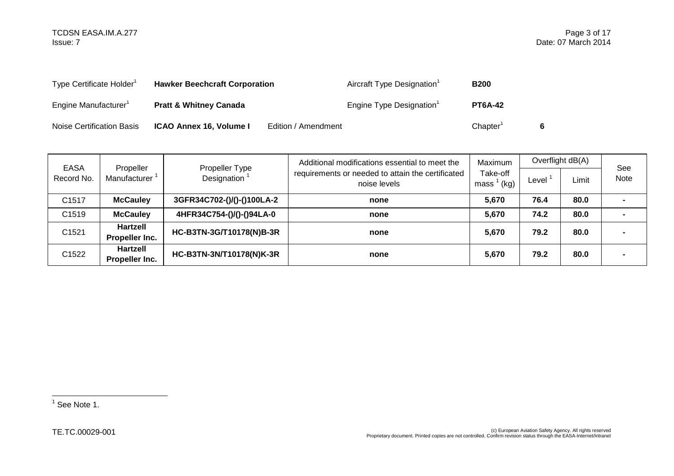| Type Certificate Holder <sup>1</sup> | <b>Hawker Beechcraft Corporation</b> |                     | Aircraft Type Designation <sup>1</sup> | <b>B200</b>          |  |
|--------------------------------------|--------------------------------------|---------------------|----------------------------------------|----------------------|--|
| Engine Manufacturer                  | <b>Pratt &amp; Whitney Canada</b>    |                     | Engine Type Designation <sup>1</sup>   | <b>PT6A-42</b>       |  |
| Noise Certification Basis            | <b>ICAO Annex 16, Volume I</b>       | Edition / Amendment |                                        | Chapter <sup>'</sup> |  |

| EASA<br>Propeller |                            | Propeller Type             | Additional modifications essential to meet the                    | Maximum                   | Overflight dB(A) |       | See         |
|-------------------|----------------------------|----------------------------|-------------------------------------------------------------------|---------------------------|------------------|-------|-------------|
| Record No.        | Manufacturer '             | Designation                | requirements or needed to attain the certificated<br>noise levels | Take-off<br>mass $1$ (kg) | Level            | Limit | <b>Note</b> |
| C <sub>1517</sub> | <b>McCauley</b>            | 3GFR34C702-()/()-()100LA-2 | none                                                              | 5,670                     | 76.4             | 80.0  |             |
| C1519             | <b>McCauley</b>            | 4HFR34C754-()/()-()94LA-0  | none                                                              | 5,670                     | 74.2             | 80.0  |             |
| C1521             | Hartzell<br>Propeller Inc. | HC-B3TN-3G/T10178(N)B-3R   | none                                                              | 5,670                     | 79.2             | 80.0  |             |
| C <sub>1522</sub> | Hartzell<br>Propeller Inc. | HC-B3TN-3N/T10178(N)K-3R   | none                                                              | 5,670                     | 79.2             | 80.0  |             |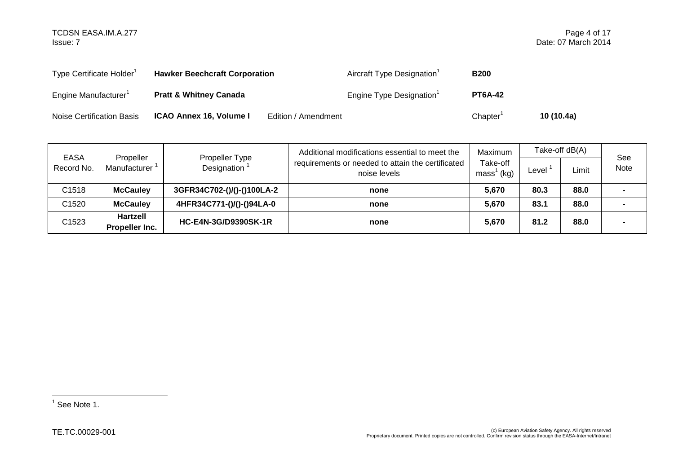| Type Certificate Holder <sup>1</sup> | <b>Hawker Beechcraft Corporation</b> |                     | Aircraft Type Designation            | <b>B200</b>    |            |
|--------------------------------------|--------------------------------------|---------------------|--------------------------------------|----------------|------------|
| Engine Manufacturer <sup>1</sup>     | <b>Pratt &amp; Whitney Canada</b>    |                     | Engine Type Designation <sup>1</sup> | <b>PT6A-42</b> |            |
| Noise Certification Basis            | <b>ICAO Annex 16, Volume I</b>       | Edition / Amendment |                                      | Chapter        | 10 (10.4a) |

| <b>EASA</b><br>Propeller |                                   | Additional modifications essential to meet the | Maximum                                                           | Take-off dB(A)           |       | See   |                |
|--------------------------|-----------------------------------|------------------------------------------------|-------------------------------------------------------------------|--------------------------|-------|-------|----------------|
| Record No.               | Manufacturer <sup>1</sup>         | Propeller Type<br>Designation                  | requirements or needed to attain the certificated<br>noise levels | Take-off<br>$mass1$ (kg) | Level | Limit | Note           |
| C1518                    | <b>McCauley</b>                   | 3GFR34C702-()/()-()100LA-2                     | none                                                              | 5,670                    | 80.3  | 88.0  | $\blacksquare$ |
| C1520                    | <b>McCauley</b>                   | 4HFR34C771-()/()-()94LA-0                      | none                                                              | 5,670                    | 83.1  | 88.0  |                |
| C1523                    | <b>Hartzell</b><br>Propeller Inc. | <b>HC-E4N-3G/D9390SK-1R</b>                    | none                                                              | 5,670                    | 81.2  | 88.0  | $\blacksquare$ |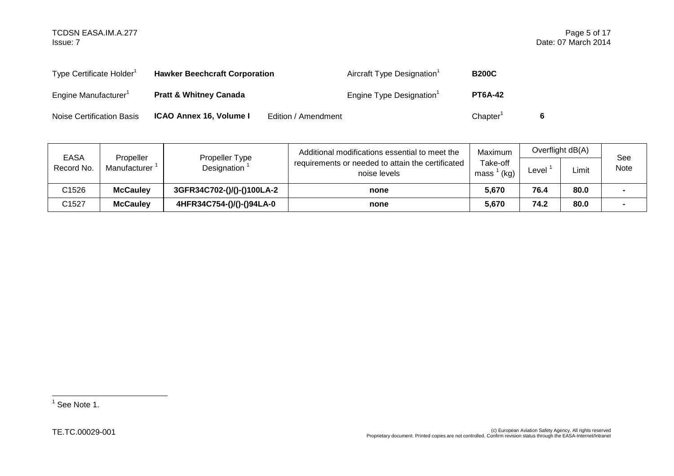| Type Certificate Holder <sup>1</sup> | <b>Hawker Beechcraft Corporation</b> |                     | Aircraft Type Designation <sup>1</sup> | <b>B200C</b>   |   |
|--------------------------------------|--------------------------------------|---------------------|----------------------------------------|----------------|---|
| Engine Manufacturer <sup>1</sup>     | <b>Pratt &amp; Whitney Canada</b>    |                     | Engine Type Designation <sup>1</sup>   | <b>PT6A-42</b> |   |
| Noise Certification Basis            | <b>ICAO Annex 16, Volume I</b>       | Edition / Amendment |                                        | Chapter        | 6 |

| <b>EASA</b><br>Propeller | Propeller Type  | Additional modifications essential to meet the | Maximum                                                           | Overflight dB(A)                  |      | See   |                |
|--------------------------|-----------------|------------------------------------------------|-------------------------------------------------------------------|-----------------------------------|------|-------|----------------|
| Record No.               | Manufacturer '  | Designation                                    | requirements or needed to attain the certificated<br>noise levels | Take-off<br>Level<br>(kg)<br>mass |      | _imit | Note           |
| C1526                    | <b>McCauley</b> | 3GFR34C702-()/()-()100LA-2                     | none                                                              | 5,670                             | 76.4 | 80.0  | $\blacksquare$ |
| C <sub>1527</sub>        | <b>McCauley</b> | 4HFR34C754-()/()-()94LA-0                      | none                                                              | 5,670                             | 74.2 | 80.0  |                |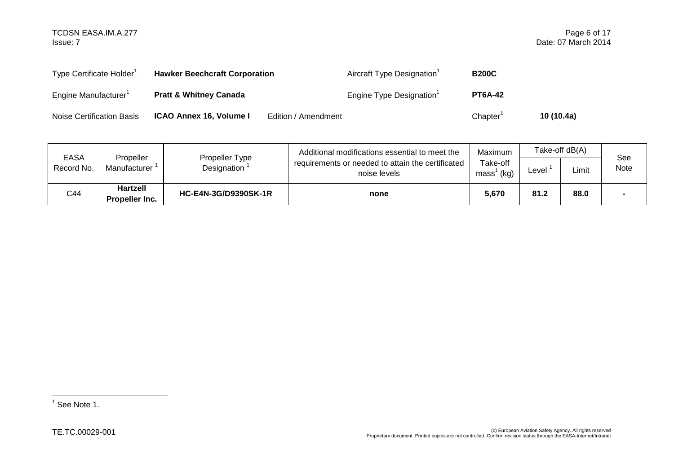TCDSN EASA.IM.A.277<br>Issue: 7 Issue: 7 Date: 07 March 2014

| Type Certificate Holder <sup>1</sup> | <b>Hawker Beechcraft Corporation</b> |                     | Aircraft Type Designation            | <b>B200C</b>   |            |
|--------------------------------------|--------------------------------------|---------------------|--------------------------------------|----------------|------------|
| Engine Manufacturer <sup>1</sup>     | <b>Pratt &amp; Whitney Canada</b>    |                     | Engine Type Designation <sup>1</sup> | <b>PT6A-42</b> |            |
| Noise Certification Basis            | <b>ICAO Annex 16, Volume I</b>       | Edition / Amendment |                                      | Chapter        | 10 (10.4a) |

| <b>EASA</b><br>Propeller Type<br>Propeller<br>Designation<br>Record No.<br>Manufacturer |                                                                   |                             | Additional modifications essential to meet the | Maximum | Take-off dB(A) |      | See<br>Note    |
|-----------------------------------------------------------------------------------------|-------------------------------------------------------------------|-----------------------------|------------------------------------------------|---------|----------------|------|----------------|
|                                                                                         | requirements or needed to attain the certificated<br>noise levels | Take-off<br>(kg)<br>mass    | Level                                          | _imit   |                |      |                |
| C44                                                                                     | Hartzell<br><b>Propeller Inc.</b>                                 | <b>HC-E4N-3G/D9390SK-1R</b> | none                                           | 5,670   | 81.2           | 88.0 | $\blacksquare$ |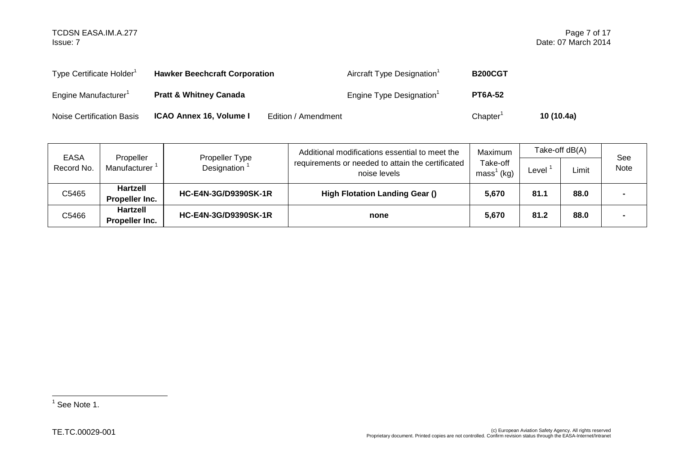| Type Certificate Holder <sup>1</sup> | <b>Hawker Beechcraft Corporation</b> |                     | Aircraft Type Designation            | <b>B200CGT</b>       |            |
|--------------------------------------|--------------------------------------|---------------------|--------------------------------------|----------------------|------------|
| Engine Manufacturer <sup>1</sup>     | <b>Pratt &amp; Whitney Canada</b>    |                     | Engine Type Designation <sup>1</sup> | <b>PT6A-52</b>       |            |
| Noise Certification Basis            | <b>ICAO Annex 16, Volume I</b>       | Edition / Amendment |                                      | Chapter <sup>'</sup> | 10 (10.4a) |

| <b>EASA</b><br>Propeller |                                   | Propeller Type              | Additional modifications essential to meet the                    | Maximum                           | Take-off dB(A) |       | See         |
|--------------------------|-----------------------------------|-----------------------------|-------------------------------------------------------------------|-----------------------------------|----------------|-------|-------------|
| Record No.               | Manufacturer <sup>'</sup>         | Designation                 | requirements or needed to attain the certificated<br>noise levels | Take-off<br>Level<br>$mass1$ (kg) |                | _imit | <b>Note</b> |
| C5465                    | Hartzell<br>Propeller Inc.        | <b>HC-E4N-3G/D9390SK-1R</b> | <b>High Flotation Landing Gear ()</b>                             | 5,670                             | 81.1           | 88.0  |             |
| C5466                    | Hartzell<br><b>Propeller Inc.</b> | <b>HC-E4N-3G/D9390SK-1R</b> | none                                                              | 5,670                             | 81.2           | 88.0  |             |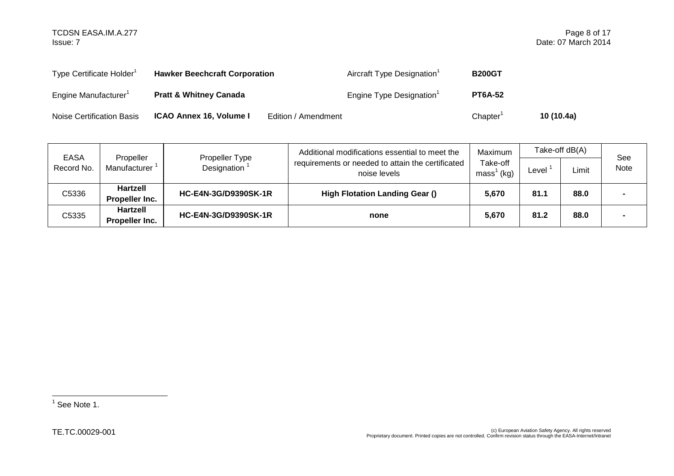| Type Certificate Holder <sup>1</sup> | <b>Hawker Beechcraft Corporation</b> |                     | Aircraft Type Designation            | <b>B200GT</b>        |            |
|--------------------------------------|--------------------------------------|---------------------|--------------------------------------|----------------------|------------|
| Engine Manufacturer <sup>1</sup>     | <b>Pratt &amp; Whitney Canada</b>    |                     | Engine Type Designation <sup>1</sup> | <b>PT6A-52</b>       |            |
| Noise Certification Basis            | <b>ICAO Annex 16, Volume I</b>       | Edition / Amendment |                                      | Chapter <sup>1</sup> | 10 (10.4a) |

| <b>EASA</b> |                            | Propeller Type<br>Propeller | Additional modifications essential to meet the                    | Maximum                  | Take-off dB(A) |       | See         |
|-------------|----------------------------|-----------------------------|-------------------------------------------------------------------|--------------------------|----------------|-------|-------------|
| Record No.  | Manufacturer '             | Designation                 | requirements or needed to attain the certificated<br>noise levels | Take-off<br>$mass1$ (kg) | Level          | _imit | <b>Note</b> |
| C5336       | Hartzell<br>Propeller Inc. | <b>HC-E4N-3G/D9390SK-1R</b> | <b>High Flotation Landing Gear ()</b>                             | 5,670                    | 81.1           | 88.0  |             |
| C5335       | Hartzell<br>Propeller Inc. | <b>HC-E4N-3G/D9390SK-1R</b> | none                                                              | 5,670                    | 81.2           | 88.0  |             |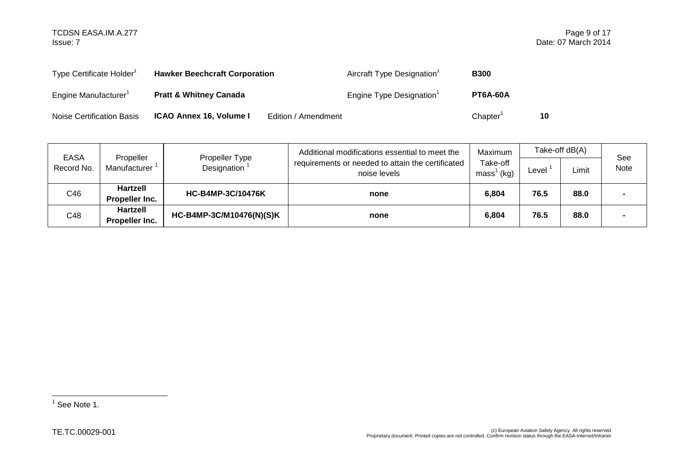| Type Certificate Holder <sup>1</sup> | <b>Hawker Beechcraft Corporation</b> |                     | Aircraft Type Designation <sup>1</sup> | <b>B300</b>          |    |
|--------------------------------------|--------------------------------------|---------------------|----------------------------------------|----------------------|----|
| Engine Manufacturer <sup>1</sup>     | <b>Pratt &amp; Whitney Canada</b>    |                     | Engine Type Designation <sup>1</sup>   | <b>PT6A-60A</b>      |    |
| Noise Certification Basis            | <b>ICAO Annex 16, Volume I</b>       | Edition / Amendment |                                        | Chapter <sup>'</sup> | 10 |

| <b>EASA</b><br>Propeller | Propeller Type                           | Additional modifications essential to meet the | Maximum                                                           |                          | Take-off dB(A) |       |                |
|--------------------------|------------------------------------------|------------------------------------------------|-------------------------------------------------------------------|--------------------------|----------------|-------|----------------|
| Record No.               | Manufacturer <sup>1</sup>                | Designation                                    | requirements or needed to attain the certificated<br>noise levels | Take-off<br>$mass1$ (kg) | Level          | ∟imit | See<br>Note    |
| C46                      | <b>Hartzell</b><br><b>Propeller Inc.</b> | HC-B4MP-3C/10476K                              | none                                                              | 6,804                    | 76.5           | 88.0  | $\blacksquare$ |
| C48                      | <b>Hartzell</b><br>Propeller Inc.        | HC-B4MP-3C/M10476(N)(S)K                       | none                                                              | 6,804                    | 76.5           | 88.0  |                |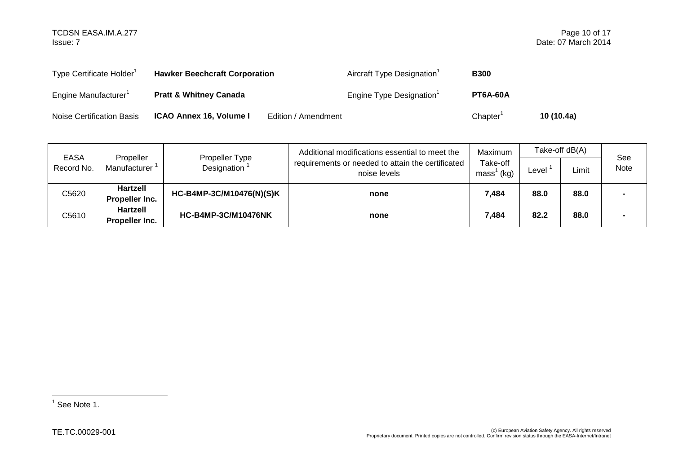| Type Certificate Holder          | <b>Hawker Beechcraft Corporation</b> |                     | Aircraft Type Designation            | <b>B300</b>     |           |
|----------------------------------|--------------------------------------|---------------------|--------------------------------------|-----------------|-----------|
| Engine Manufacturer <sup>1</sup> | <b>Pratt &amp; Whitney Canada</b>    |                     | Engine Type Designation <sup>1</sup> | <b>PT6A-60A</b> |           |
| Noise Certification Basis        | <b>ICAO Annex 16, Volume I</b>       | Edition / Amendment |                                      | Chapter         | 10(10.4a) |

| <b>EASA</b><br>Propeller | Propeller Type             | Additional modifications essential to meet the | Maximum                                                           | Take-off dB(A)           |       | See   |                |
|--------------------------|----------------------------|------------------------------------------------|-------------------------------------------------------------------|--------------------------|-------|-------|----------------|
| Record No.               | Manufacturer <sup>1</sup>  | Designation                                    | requirements or needed to attain the certificated<br>noise levels | Take-off<br>$mass1$ (kg) | Level | _imit | Note           |
| C5620                    | Hartzell<br>Propeller Inc. | HC-B4MP-3C/M10476(N)(S)K                       | none                                                              | 7,484                    | 88.0  | 88.0  | $\blacksquare$ |
| C5610                    | Hartzell<br>Propeller Inc. | <b>HC-B4MP-3C/M10476NK</b>                     | none                                                              | 7.484                    | 82.2  | 88.0  | $\blacksquare$ |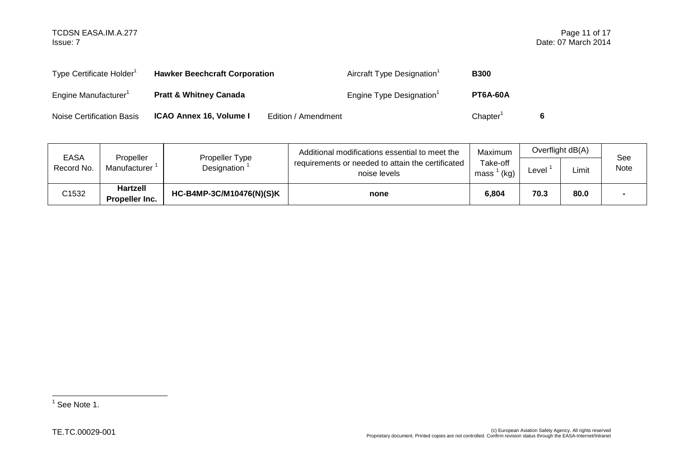| Type Certificate Holder <sup>1</sup> | <b>Hawker Beechcraft Corporation</b> |                     | Aircraft Type Designation <sup>1</sup> | <b>B300</b>          |   |
|--------------------------------------|--------------------------------------|---------------------|----------------------------------------|----------------------|---|
| Engine Manufacturer <sup>1</sup>     | <b>Pratt &amp; Whitney Canada</b>    |                     | Engine Type Designation <sup>1</sup>   | <b>PT6A-60A</b>      |   |
| Noise Certification Basis            | <b>ICAO Annex 16, Volume I</b>       | Edition / Amendment |                                        | Chapter <sup>'</sup> | 6 |

| <b>EASA</b> | Propeller Type<br>Propeller       | Additional modifications essential to meet the | Maximum                                                           | Overflight dB(A)                  |       |             |  |
|-------------|-----------------------------------|------------------------------------------------|-------------------------------------------------------------------|-----------------------------------|-------|-------------|--|
| Record No.  | Manufacturer                      | Designation                                    | requirements or needed to attain the certificated<br>noise levels | Take-off<br>Level<br>(kg)<br>mass | Limit | See<br>Note |  |
| C1532       | <b>Hartzell</b><br>Propeller Inc. | HC-B4MP-3C/M10476(N)(S)K                       | none                                                              | 6,804                             | 70.3  | 80.0        |  |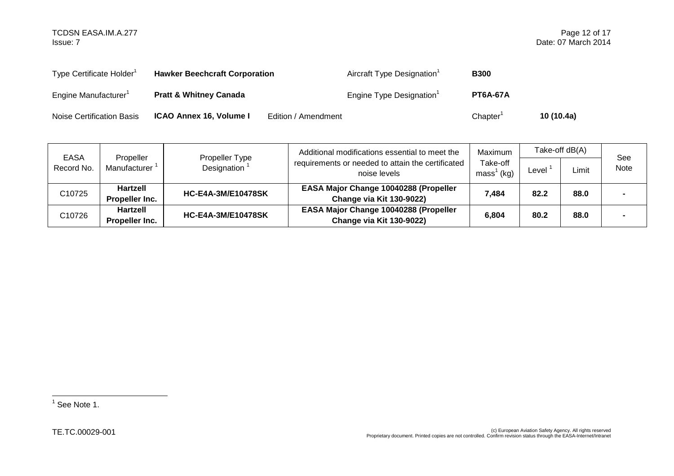| Type Certificate Holder          | <b>Hawker Beechcraft Corporation</b> |                     | Aircraft Type Designation            | <b>B300</b>          |            |
|----------------------------------|--------------------------------------|---------------------|--------------------------------------|----------------------|------------|
| Engine Manufacturer <sup>1</sup> | <b>Pratt &amp; Whitney Canada</b>    |                     | Engine Type Designation <sup>1</sup> | <b>PT6A-67A</b>      |            |
| Noise Certification Basis        | <b>ICAO Annex 16, Volume I</b>       | Edition / Amendment |                                      | Chapter <sup>'</sup> | 10 (10.4a) |

| <b>EASA</b><br>Propeller Type<br>Propeller |                                   | Additional modifications essential to meet the | Maximum                                                                           | Take-off dB(A) |       | See   |             |
|--------------------------------------------|-----------------------------------|------------------------------------------------|-----------------------------------------------------------------------------------|----------------|-------|-------|-------------|
| Record No.                                 | Manufacturer <sup>1</sup>         | Designation                                    | requirements or needed to attain the certificated<br>$mass1$ (kg)<br>noise levels |                | Level | Limit | <b>Note</b> |
| C10725                                     | <b>Hartzell</b><br>Propeller Inc. | <b>HC-E4A-3M/E10478SK</b>                      | EASA Major Change 10040288 (Propeller<br><b>Change via Kit 130-9022)</b>          | 7,484          | 82.2  | 88.0  |             |
| C10726                                     | <b>Hartzell</b><br>Propeller Inc. | <b>HC-E4A-3M/E10478SK</b>                      | EASA Major Change 10040288 (Propeller<br><b>Change via Kit 130-9022)</b>          | 6,804          | 80.2  | 88.0  |             |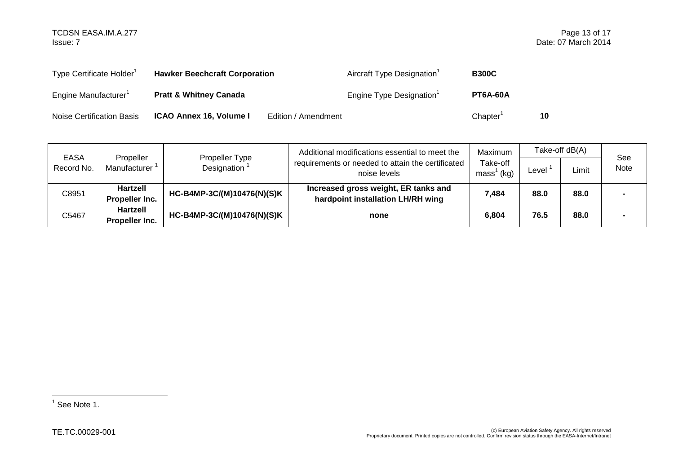| Type Certificate Holder <sup>1</sup> | <b>Hawker Beechcraft Corporation</b> |                     | Aircraft Type Designation            | <b>B300C</b>         |    |
|--------------------------------------|--------------------------------------|---------------------|--------------------------------------|----------------------|----|
| Engine Manufacturer <sup>1</sup>     | <b>Pratt &amp; Whitney Canada</b>    |                     | Engine Type Designation <sup>1</sup> | <b>PT6A-60A</b>      |    |
| Noise Certification Basis            | <b>ICAO Annex 16, Volume I</b>       | Edition / Amendment |                                      | Chapter <sup>'</sup> | 10 |

| <b>EASA</b><br>Propeller | Propeller Type                    | Additional modifications essential to meet the | Maximum                                                                   |                          | Take-off dB(A) | See   |                          |
|--------------------------|-----------------------------------|------------------------------------------------|---------------------------------------------------------------------------|--------------------------|----------------|-------|--------------------------|
| Record No.               | Manufacturer <sup>1</sup>         | Designation                                    | requirements or needed to attain the certificated<br>noise levels         | Take-off<br>$mass1$ (kg) | Level          | Limit | Note                     |
| C8951                    | <b>Hartzell</b><br>Propeller Inc. | HC-B4MP-3C/(M)10476(N)(S)K                     | Increased gross weight, ER tanks and<br>hardpoint installation LH/RH wing | 7,484                    | 88.0           | 88.0  | $\blacksquare$           |
| C5467                    | <b>Hartzell</b><br>Propeller Inc. | HC-B4MP-3C/(M)10476(N)(S)K                     | none                                                                      | 6.804                    | 76.5           | 88.0  | $\overline{\phantom{0}}$ |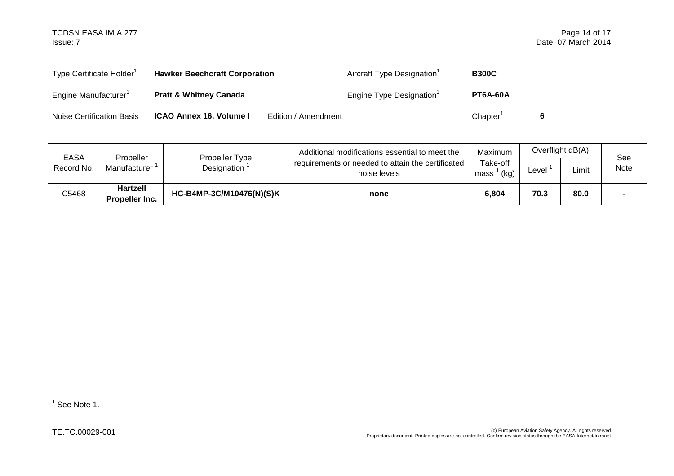| Type Certificate Holder <sup>1</sup> | <b>Hawker Beechcraft Corporation</b> |                     | Aircraft Type Designation <sup>1</sup> | <b>B300C</b>         |    |
|--------------------------------------|--------------------------------------|---------------------|----------------------------------------|----------------------|----|
| Engine Manufacturer <sup>1</sup>     | <b>Pratt &amp; Whitney Canada</b>    |                     | Engine Type Designation <sup>1</sup>   | <b>PT6A-60A</b>      |    |
| Noise Certification Basis            | <b>ICAO Annex 16, Volume I</b>       | Edition / Amendment |                                        | Chapter <sup>'</sup> | -6 |

| <b>EASA</b> | Propeller Type<br>Propeller       | Additional modifications essential to meet the | Maximum                                                           | Overflight dB(A)                  |       |             |  |
|-------------|-----------------------------------|------------------------------------------------|-------------------------------------------------------------------|-----------------------------------|-------|-------------|--|
| Record No.  | Manufacturer                      | Designation                                    | requirements or needed to attain the certificated<br>noise levels | Take-off<br>Level<br>(kg)<br>mass | Limit | See<br>Note |  |
| C5468       | <b>Hartzell</b><br>Propeller Inc. | HC-B4MP-3C/M10476(N)(S)K                       | none                                                              | 6,804                             | 70.3  | 80.0        |  |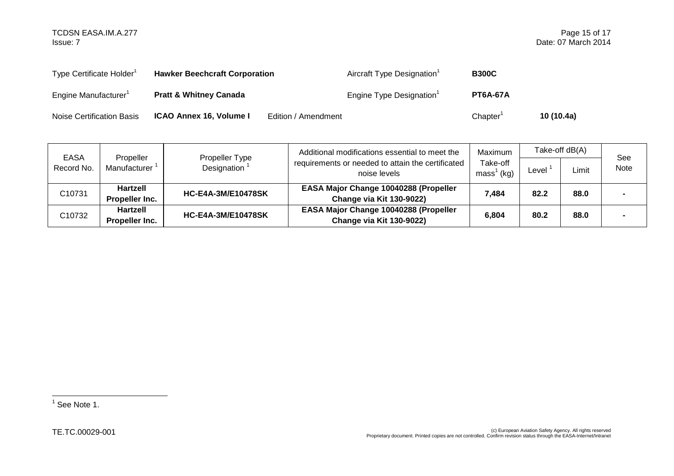| Type Certificate Holder          | <b>Hawker Beechcraft Corporation</b> |                     | Aircraft Type Designation            | <b>B300C</b>    |            |
|----------------------------------|--------------------------------------|---------------------|--------------------------------------|-----------------|------------|
| Engine Manufacturer <sup>1</sup> | <b>Pratt &amp; Whitney Canada</b>    |                     | Engine Type Designation <sup>1</sup> | <b>PT6A-67A</b> |            |
| Noise Certification Basis        | <b>ICAO Annex 16, Volume I</b>       | Edition / Amendment |                                      | Chapter         | 10 (10.4a) |

| <b>EASA</b><br>Record No. | Propeller<br>Manufacturer <sup>1</sup> | Propeller Type<br>Designation | Additional modifications essential to meet the                           | Maximum<br>Take-off<br>$mass1$ (kg) | Take-off dB(A) |       | See            |
|---------------------------|----------------------------------------|-------------------------------|--------------------------------------------------------------------------|-------------------------------------|----------------|-------|----------------|
|                           |                                        |                               | requirements or needed to attain the certificated<br>noise levels        |                                     | Level          | ∟imit | <b>Note</b>    |
| C10731                    | Hartzell<br>Propeller Inc.             | <b>HC-E4A-3M/E10478SK</b>     | EASA Major Change 10040288 (Propeller<br><b>Change via Kit 130-9022)</b> | 7,484                               | 82.2           | 88.0  | $\blacksquare$ |
| C10732                    | Hartzell<br>Propeller Inc.             | <b>HC-E4A-3M/E10478SK</b>     | EASA Major Change 10040288 (Propeller<br><b>Change via Kit 130-9022)</b> | 6,804                               | 80.2           | 88.0  |                |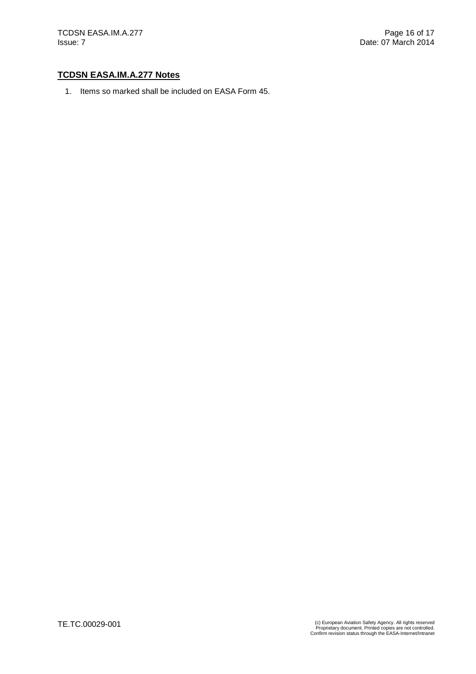#### **TCDSN EASA.IM.A.277 Notes**

1. Items so marked shall be included on EASA Form 45.